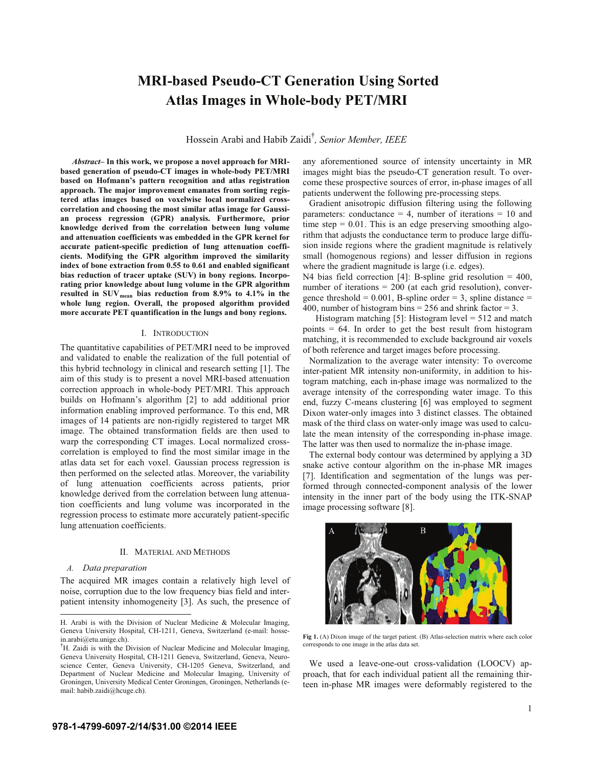# **MRI-based Pseudo-CT Generation Using Sorted Atlas Images in Whole-body PET/MRI**

Hossein Arabi and Habib Zaidi† *, Senior Member, IEEE*

*Abstract***– In this work, we propose a novel approach for MRIbased generation of pseudo-CT images in whole-body PET/MRI based on Hofmann's pattern recognition and atlas registration approach. The major improvement emanates from sorting registered atlas images based on voxelwise local normalized crosscorrelation and choosing the most similar atlas image for Gaussian process regression (GPR) analysis. Furthermore, prior knowledge derived from the correlation between lung volume and attenuation coefficients was embedded in the GPR kernel for accurate patient-specific prediction of lung attenuation coefficients. Modifying the GPR algorithm improved the similarity index of bone extraction from 0.55 to 0.61 and enabled significant bias reduction of tracer uptake (SUV) in bony regions. Incorporating prior knowledge about lung volume in the GPR algorithm resulted in SUVmean bias reduction from 8.9% to 4.1% in the whole lung region. Overall, the proposed algorithm provided more accurate PET quantification in the lungs and bony regions.**

# I. INTRODUCTION

The quantitative capabilities of PET/MRI need to be improved and validated to enable the realization of the full potential of this hybrid technology in clinical and research setting [1]. The aim of this study is to present a novel MRI-based attenuation correction approach in whole-body PET/MRI. This approach builds on Hofmann's algorithm [2] to add additional prior information enabling improved performance. To this end, MR images of 14 patients are non-rigidly registered to target MR image. The obtained transformation fields are then used to warp the corresponding CT images. Local normalized crosscorrelation is employed to find the most similar image in the atlas data set for each voxel. Gaussian process regression is then performed on the selected atlas. Moreover, the variability of lung attenuation coefficients across patients, prior knowledge derived from the correlation between lung attenuation coefficients and lung volume was incorporated in the regression process to estimate more accurately patient-specific lung attenuation coefficients.

### II. MATERIAL AND METHODS

# *A. Data preparation*

The acquired MR images contain a relatively high level of noise, corruption due to the low frequency bias field and interpatient intensity inhomogeneity [3]. As such, the presence of any aforementioned source of intensity uncertainty in MR images might bias the pseudo-CT generation result. To overcome these prospective sources of error, in-phase images of all patients underwent the following pre-processing steps.

Gradient anisotropic diffusion filtering using the following parameters: conductance  $= 4$ , number of iterations  $= 10$  and time step  $= 0.01$ . This is an edge preserving smoothing algorithm that adjusts the conductance term to produce large diffusion inside regions where the gradient magnitude is relatively small (homogenous regions) and lesser diffusion in regions where the gradient magnitude is large (i.e. edges).

N4 bias field correction [4]: B-spline grid resolution = 400, number of iterations = 200 (at each grid resolution), convergence threshold =  $0.001$ , B-spline order = 3, spline distance = 400, number of histogram bins =  $256$  and shrink factor = 3.

Histogram matching  $[5]$ : Histogram level = 512 and match points  $= 64$ . In order to get the best result from histogram matching, it is recommended to exclude background air voxels of both reference and target images before processing.

Normalization to the average water intensity: To overcome inter-patient MR intensity non-uniformity, in addition to histogram matching, each in-phase image was normalized to the average intensity of the corresponding water image. To this end, fuzzy C-means clustering [6] was employed to segment Dixon water-only images into 3 distinct classes. The obtained mask of the third class on water-only image was used to calculate the mean intensity of the corresponding in-phase image. The latter was then used to normalize the in-phase image.

The external body contour was determined by applying a 3D snake active contour algorithm on the in-phase MR images [7]. Identification and segmentation of the lungs was performed through connected-component analysis of the lower intensity in the inner part of the body using the ITK-SNAP image processing software [8].



**Fig 1.** (A) Dixon image of the target patient. (B) Atlas-selection matrix where each color corresponds to one image in the atlas data set.

We used a leave-one-out cross-validation (LOOCV) approach, that for each individual patient all the remaining thirteen in-phase MR images were deformably registered to the

H. Arabi is with the Division of Nuclear Medicine & Molecular Imaging, Geneva University Hospital, CH-1211, Geneva, Switzerland (e-mail: hossein.arabi@etu.unige.ch).

<sup>†</sup> H. Zaidi is with the Division of Nuclear Medicine and Molecular Imaging, Geneva University Hospital, CH-1211 Geneva, Switzerland, Geneva, Neuroscience Center, Geneva University, CH-1205 Geneva, Switzerland, and Department of Nuclear Medicine and Molecular Imaging, University of Groningen, University Medical Center Groningen, Groningen, Netherlands (email: habib.zaidi@hcuge.ch).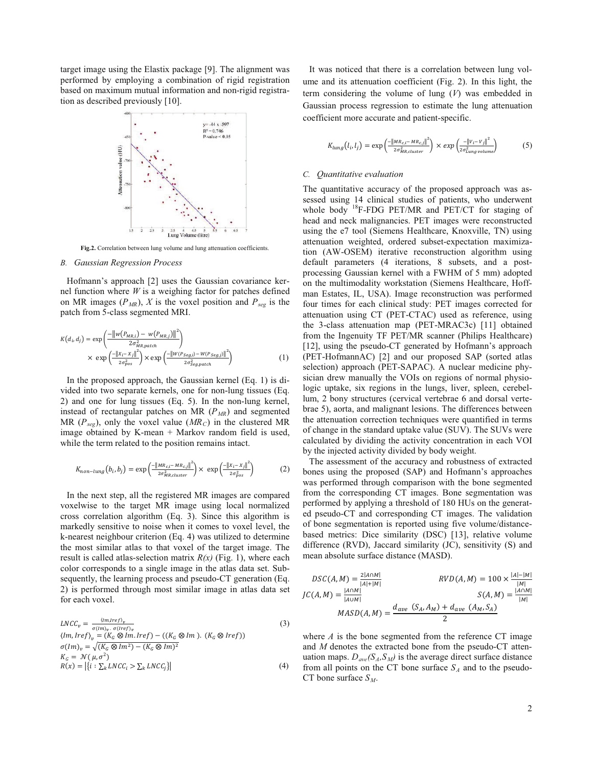target image using the Elastix package [9]. The alignment was performed by employing a combination of rigid registration based on maximum mutual information and non-rigid registration as described previously [10].



**Fig.2.** Correlation between lung volume and lung attenuation coefficients.

# *B. Gaussian Regression Process*

Hofmann's approach [2] uses the Gaussian covariance kernel function where *W* is a weighing factor for patches defined on MR images  $(P_{MR})$ , *X* is the voxel position and  $P_{seg}$  is the patch from 5-class segmented MRI.

$$
K(d_i, d_j) = \exp\left(\frac{-\left\|w(P_{MR,i}) - w(P_{MR,j})\right\|^2}{2\sigma_{MR,patch}^2}\right) \times \exp\left(\frac{-\left\|x_i - x_j\right\|^2}{2\sigma_{pos}^2}\right) \times \exp\left(\frac{-\left\|w(P_{seg,i}) - w(P_{seg,j})\right\|^2}{2\sigma_{seg,patch}^2}\right) \tag{1}
$$

In the proposed approach, the Gaussian kernel (Eq. 1) is divided into two separate kernels, one for non-lung tissues (Eq. 2) and one for lung tissues (Eq. 5). In the non-lung kernel, instead of rectangular patches on MR ( $P<sub>MR</sub>$ ) and segmented MR ( $P_{seg}$ ), only the voxel value ( $MR_C$ ) in the clustered MR image obtained by K-mean + Markov random field is used, while the term related to the position remains intact.

$$
K_{non-lung}(b_i, b_j) = \exp\left(\frac{-\left\|MR_{c,i} - MR_{c,j}\right\|^2}{2\sigma_{MR,cluster}^2}\right) \times \exp\left(\frac{-\left\|x_i - x_j\right\|^2}{2\sigma_{pos}^2}\right) \tag{2}
$$

In the next step, all the registered MR images are compared voxelwise to the target MR image using local normalized cross correlation algorithm (Eq. 3). Since this algorithm is markedly sensitive to noise when it comes to voxel level, the k-nearest neighbour criterion (Eq. 4) was utilized to determine the most similar atlas to that voxel of the target image. The result is called atlas-selection matrix *R(x)* (Fig. 1), where each color corresponds to a single image in the atlas data set. Subsequently, the learning process and pseudo-CT generation (Eq. 2) is performed through most similar image in atlas data set for each voxel.

$$
LNCC_v = \frac{\langle im_{Jre}f \rangle_v}{\sigma(\langle m \rangle_v, \sigma(\langle ref \rangle_v))} \tag{3}
$$
\n
$$
\langle Im, Iref \rangle_v = (K_G \otimes Im. Iref) - ((K_G \otimes Im). (K_G \otimes Iref))
$$
\n
$$
\sigma(\langle m \rangle_v = \sqrt{(K_G \otimes Im^2) - (K_G \otimes Im)^2} \times G = \mathcal{N}(\mu, \sigma^2) \times R(x) = |\{i : \sum_k LNCC_i > \sum_k LNCC_j\}| \tag{4}
$$

It was noticed that there is a correlation between lung volume and its attenuation coefficient (Fig. 2). In this light, the term considering the volume of lung (*V*) was embedded in Gaussian process regression to estimate the lung attenuation coefficient more accurate and patient-specific.

$$
K_{lung}(l_i, l_j) = \exp\left(\frac{-\left\|M_{c,i} - MR_{c,j}\right\|^2}{2\sigma_{MR,cluster}^2}\right) \times \exp\left(\frac{-\left\|V_i - V_j\right\|^2}{2\sigma_{Lung\,volume}^2}\right) \tag{5}
$$

# *C. Quantitative evaluation*

The quantitative accuracy of the proposed approach was assessed using 14 clinical studies of patients, who underwent whole body <sup>18</sup>F-FDG PET/MR and PET/CT for staging of head and neck malignancies. PET images were reconstructed using the e7 tool (Siemens Healthcare, Knoxville, TN) using attenuation weighted, ordered subset-expectation maximization (AW-OSEM) iterative reconstruction algorithm using default parameters (4 iterations, 8 subsets, and a postprocessing Gaussian kernel with a FWHM of 5 mm) adopted on the multimodality workstation (Siemens Healthcare, Hoffman Estates, IL, USA). Image reconstruction was performed four times for each clinical study: PET images corrected for attenuation using CT (PET-CTAC) used as reference, using the 3-class attenuation map (PET-MRAC3c) [11] obtained from the Ingenuity TF PET/MR scanner (Philips Healthcare) [12], using the pseudo-CT generated by Hofmann's approach (PET-HofmannAC) [2] and our proposed SAP (sorted atlas selection) approach (PET-SAPAC). A nuclear medicine physician drew manually the VOIs on regions of normal physiologic uptake, six regions in the lungs, liver, spleen, cerebellum, 2 bony structures (cervical vertebrae 6 and dorsal vertebrae 5), aorta, and malignant lesions. The differences between the attenuation correction techniques were quantified in terms of change in the standard uptake value (SUV). The SUVs were calculated by dividing the activity concentration in each VOI by the injected activity divided by body weight.

The assessment of the accuracy and robustness of extracted bones using the proposed (SAP) and Hofmann's approaches was performed through comparison with the bone segmented from the corresponding CT images. Bone segmentation was performed by applying a threshold of 180 HUs on the generated pseudo-CT and corresponding CT images. The validation of bone segmentation is reported using five volume/distancebased metrics: Dice similarity (DSC) [13], relative volume difference (RVD), Jaccard similarity (JC), sensitivity (S) and mean absolute surface distance (MASD).

$$
DSC(A, M) = \frac{2|A \cap M|}{|A| + |M|}
$$
  
\n
$$
IC(A, M) = \frac{|A \cap M|}{|A \cup M|}
$$
  
\n
$$
MASD(A, M) = \frac{d_{ave}(S_A, A_M) + d_{ave}(A_M, S_A)}{2}
$$
  
\n
$$
RVD(A, M) = 100 \times \frac{|A| - |M|}{|M|}
$$

where *A* is the bone segmented from the reference CT image and *M* denotes the extracted bone from the pseudo-CT attenuation maps.  $D_{ave}(S_A, S_M)$  is the average direct surface distance from all points on the CT bone surface  $S_A$  and to the pseudo-CT bone surface  $S_M$ .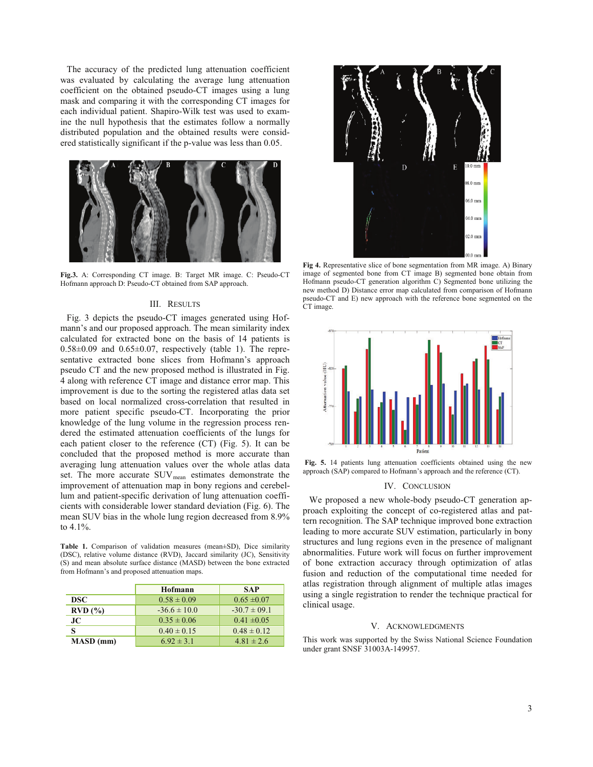The accuracy of the predicted lung attenuation coefficient was evaluated by calculating the average lung attenuation coefficient on the obtained pseudo-CT images using a lung mask and comparing it with the corresponding CT images for each individual patient. Shapiro-Wilk test was used to examine the null hypothesis that the estimates follow a normally distributed population and the obtained results were considered statistically significant if the p-value was less than 0.05.



**Fig.3.** A: Corresponding CT image. B: Target MR image. C: Pseudo-CT Hofmann approach D: Pseudo-CT obtained from SAP approach.

# III. RESULTS

Fig. 3 depicts the pseudo-CT images generated using Hofmann's and our proposed approach. The mean similarity index calculated for extracted bone on the basis of 14 patients is  $0.58\pm0.09$  and  $0.65\pm0.07$ , respectively (table 1). The representative extracted bone slices from Hofmann's approach pseudo CT and the new proposed method is illustrated in Fig. 4 along with reference CT image and distance error map. This improvement is due to the sorting the registered atlas data set based on local normalized cross-correlation that resulted in more patient specific pseudo-CT. Incorporating the prior knowledge of the lung volume in the regression process rendered the estimated attenuation coefficients of the lungs for each patient closer to the reference (CT) (Fig. 5). It can be concluded that the proposed method is more accurate than averaging lung attenuation values over the whole atlas data set. The more accurate SUV<sub>mean</sub> estimates demonstrate the improvement of attenuation map in bony regions and cerebellum and patient-specific derivation of lung attenuation coefficients with considerable lower standard deviation (Fig. 6). The mean SUV bias in the whole lung region decreased from 8.9% to 4.1%.

**Table 1.** Comparison of validation measures (mean±SD), Dice similarity (DSC), relative volume distance (RVD), Jaccard similarity (JC), Sensitivity (S) and mean absolute surface distance (MASD) between the bone extracted from Hofmann's and proposed attenuation maps.

|               | Hofmann          | <b>SAP</b>       |
|---------------|------------------|------------------|
| DSC.          | $0.58 \pm 0.09$  | $0.65 \pm 0.07$  |
| $RVD$ $(\% )$ | $-36.6 \pm 10.0$ | $-30.7 \pm 09.1$ |
| JС            | $0.35 \pm 0.06$  | $0.41 \pm 0.05$  |
|               | $0.40 \pm 0.15$  | $0.48 \pm 0.12$  |
| MASD (mm)     | $6.92 \pm 3.1$   | $4.81 \pm 2.6$   |



**Fig 4.** Representative slice of bone segmentation from MR image. A) Binary image of segmented bone from CT image B) segmented bone obtain from Hofmann pseudo-CT generation algorithm C) Segmented bone utilizing the new method D) Distance error map calculated from comparison of Hofmann pseudo-CT and E) new approach with the reference bone segmented on the CT image.



**Fig. 5.** 14 patients lung attenuation coefficients obtained using the new approach (SAP) compared to Hofmann's approach and the reference (CT).

# IV. CONCLUSION

We proposed a new whole-body pseudo-CT generation approach exploiting the concept of co-registered atlas and pattern recognition. The SAP technique improved bone extraction leading to more accurate SUV estimation, particularly in bony structures and lung regions even in the presence of malignant abnormalities. Future work will focus on further improvement of bone extraction accuracy through optimization of atlas fusion and reduction of the computational time needed for atlas registration through alignment of multiple atlas images using a single registration to render the technique practical for clinical usage.

#### V. ACKNOWLEDGMENTS

This work was supported by the Swiss National Science Foundation under grant SNSF 31003A-149957.